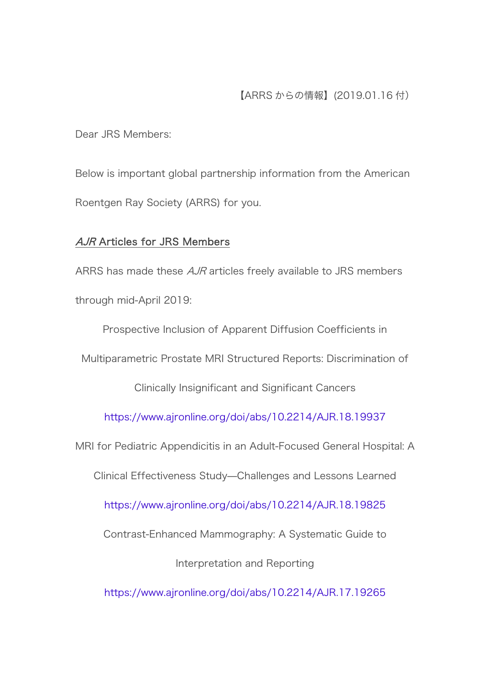Dear JRS Members:

Below is important global partnership information from the American Roentgen Ray Society (ARRS) for you.

## AJR Articles for JRS Members

ARRS has made these AJR articles freely available to JRS members through mid-April 2019:

Prospective Inclusion of Apparent Diffusion Coefficients in

Multiparametric Prostate MRI Structured Reports: Discrimination of

Clinically Insignificant and Significant Cancers

<https://www.ajronline.org/doi/abs/10.2214/AJR.18.19937>

MRI for Pediatric Appendicitis in an Adult-Focused General Hospital: A

Clinical Effectiveness Study—Challenges and Lessons Learned

<https://www.ajronline.org/doi/abs/10.2214/AJR.18.19825>

Contrast-Enhanced Mammography: A Systematic Guide to

Interpretation and Reporting

<https://www.ajronline.org/doi/abs/10.2214/AJR.17.19265>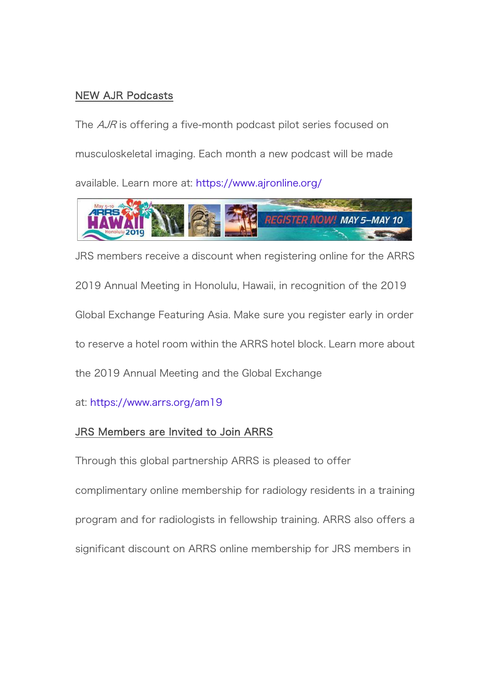## NEW AJR Podcasts

The *AJR* is offering a five-month podcast pilot series focused on musculoskeletal imaging. Each month a new podcast will be made available. Learn more at: <https://www.ajronline.org/>



JRS members receive a discount when registering online for the ARRS 2019 Annual Meeting in Honolulu, Hawaii, in recognition of the 2019 Global Exchange Featuring Asia. Make sure you register early in order to reserve a hotel room within the ARRS hotel block. Learn more about the 2019 Annual Meeting and the Global Exchange

at: <https://www.arrs.org/am19>

## JRS Members are Invited to Join ARRS

Through this global partnership ARRS is pleased to offer complimentary online membership for radiology residents in a training program and for radiologists in fellowship training. ARRS also offers a significant discount on ARRS online membership for JRS members in